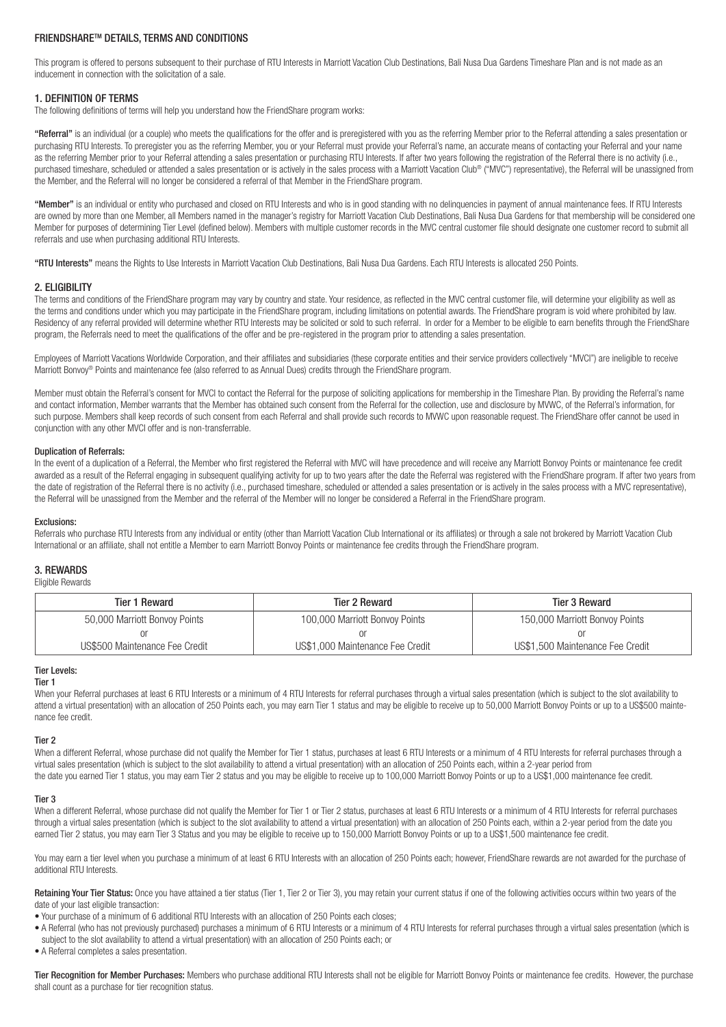# FRIENDSHARETM DETAILS, TERMS AND CONDITIONS

This program is offered to persons subsequent to their purchase of RTU Interests in Marriott Vacation Club Destinations, Bali Nusa Dua Gardens Timeshare Plan and is not made as an inducement in connection with the solicitation of a sale.

## 1. DEFINITION OF TERMS

The following definitions of terms will help you understand how the FriendShare program works:

"Referral" is an individual (or a couple) who meets the qualifications for the offer and is preregistered with you as the referring Member prior to the Referral attending a sales presentation or purchasing RTU Interests. To preregister you as the referring Member, you or your Referral must provide your Referral's name, an accurate means of contacting your Referral and your name as the referring Member prior to your Referral attending a sales presentation or purchasing RTU Interests. If after two years following the registration of the Referral there is no activity (i.e., purchased timeshare, scheduled or attended a sales presentation or is actively in the sales process with a Marriott Vacation Club® ("MVC") representative), the Referral will be unassigned from the Member, and the Referral will no longer be considered a referral of that Member in the FriendShare program.

"Member" is an individual or entity who purchased and closed on RTU Interests and who is in good standing with no delinquencies in payment of annual maintenance fees. If RTU Interests are owned by more than one Member, all Members named in the manager's registry for Marriott Vacation Club Destinations, Bali Nusa Dua Gardens for that membership will be considered one Member for purposes of determining Tier Level (defined below). Members with multiple customer records in the MVC central customer file should designate one customer record to submit all referrals and use when purchasing additional RTU Interests.

"RTU Interests" means the Rights to Use Interests in Marriott Vacation Club Destinations. Bali Nusa Dua Gardens. Each RTU Interests is allocated 250 Points.

# 2. ELIGIBILITY

The terms and conditions of the FriendShare program may vary by country and state. Your residence, as reflected in the MVC central customer file, will determine your eligibility as well as the terms and conditions under which you may participate in the FriendShare program, including limitations on potential awards. The FriendShare program is void where prohibited by law. Residency of any referral provided will determine whether RTU Interests may be solicited or sold to such referral. In order for a Member to be eligible to earn benefits through the FriendShare program, the Referrals need to meet the qualifications of the offer and be pre-registered in the program prior to attending a sales presentation.

Employees of Marriott Vacations Worldwide Corporation, and their affiliates and subsidiaries (these corporate entities and their service providers collectively "MVCI") are ineligible to receive Marriott Bonvoy® Points and maintenance fee (also referred to as Annual Dues) credits through the FriendShare program.

Member must obtain the Referral's consent for MVCI to contact the Referral for the purpose of soliciting applications for membership in the Timeshare Plan. By providing the Referral's name and contact information, Member warrants that the Member has obtained such consent from the Referral for the collection, use and disclosure by MVWC, of the Referral's information, for such purpose. Members shall keep records of such consent from each Referral and shall provide such records to MWWC upon reasonable request. The FriendShare offer cannot be used in conjunction with any other MVCI offer and is non-transferrable.

## Duplication of Referrals:

In the event of a duplication of a Referral, the Member who first registered the Referral with MVC will have precedence and will receive any Marriott Bonvoy Points or maintenance fee credit awarded as a result of the Referral engaging in subsequent qualifying activity for up to two years after the date the Referral was registered with the FriendShare program. If after two years from the date of registration of the Referral there is no activity (i.e., purchased timeshare, scheduled or attended a sales presentation or is actively in the sales process with a MVC representative), the Referral will be unassigned from the Member and the referral of the Member will no longer be considered a Referral in the FriendShare program.

## Exclusions:

Referrals who purchase RTU Interests from any individual or entity (other than Marriott Vacation Club International or its affiliates) or through a sale not brokered by Marriott Vacation Club International or an affiliate, shall not entitle a Member to earn Marriott Bonvoy Points or maintenance fee credits through the FriendShare program.

## 3. REWARDS

Eligible Rewards

| <b>Tier 1 Reward</b>           | Tier 2 Reward                    | Tier 3 Reward                    |
|--------------------------------|----------------------------------|----------------------------------|
| 50,000 Marriott Bonvoy Points  | 100,000 Marriott Bonvoy Points   | 150,000 Marriott Bonvoy Points   |
|                                |                                  |                                  |
| US\$500 Maintenance Fee Credit | US\$1,000 Maintenance Fee Credit | US\$1,500 Maintenance Fee Credit |

## Tier Levels:

#### Tier 1

When your Referral purchases at least 6 RTU Interests or a minimum of 4 RTU Interests for referral purchases through a virtual sales presentation (which is subject to the slot availability to attend a virtual presentation) with an allocation of 250 Points each, you may earn Tier 1 status and may be eligible to receive up to 50,000 Marriott Bonvoy Points or up to a US\$500 maintenance fee credit.

#### Tier 2

When a different Referral, whose purchase did not qualify the Member for Tier 1 status, purchases at least 6 RTU Interests or a minimum of 4 RTU Interests for referral purchases through a virtual sales presentation (which is subject to the slot availability to attend a virtual presentation) with an allocation of 250 Points each, within a 2-year period from the date you earned Tier 1 status, you may earn Tier 2 status and you may be eligible to receive up to 100,000 Marriott Bonvoy Points or up to a US\$1,000 maintenance fee credit.

#### Tier 3

When a different Referral, whose purchase did not qualify the Member for Tier 1 or Tier 2 status, purchases at least 6 RTU Interests or a minimum of 4 RTU Interests for referral purchases through a virtual sales presentation (which is subject to the slot availability to attend a virtual presentation) with an allocation of 250 Points each, within a 2-year period from the date you earned Tier 2 status, you may earn Tier 3 Status and you may be eligible to receive up to 150,000 Marriott Bonvoy Points or up to a US\$1,500 maintenance fee credit.

You may earn a tier level when you purchase a minimum of at least 6 RTU Interests with an allocation of 250 Points each; however, FriendShare rewards are not awarded for the purchase of additional RTU Interests.

Retaining Your Tier Status: Once you have attained a tier status (Tier 1, Tier 2 or Tier 3), you may retain your current status if one of the following activities occurs within two years of the date of your last eligible transaction:

- Your purchase of a minimum of 6 additional RTU Interests with an allocation of 250 Points each closes;
- A Referral (who has not previously purchased) purchases a minimum of 6 RTU Interests or a minimum of 4 RTU Interests for referral purchases through a virtual sales presentation (which is subject to the slot availability to attend a virtual presentation) with an allocation of 250 Points each; or
- A Referral completes a sales presentation.

Tier Recognition for Member Purchases: Members who purchase additional RTU Interests shall not be eligible for Marriott Bonvoy Points or maintenance fee credits. However, the purchase shall count as a purchase for tier recognition status.